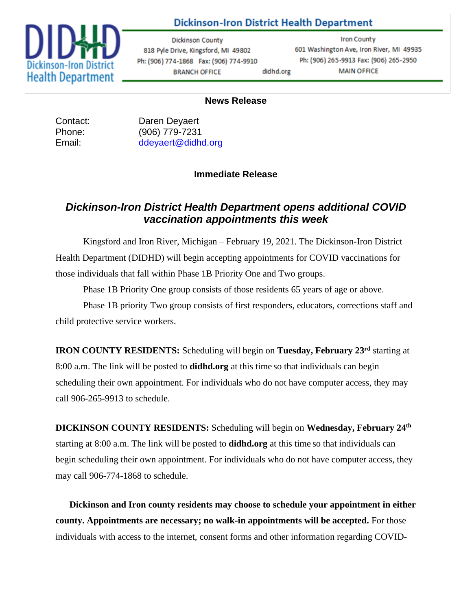

### **Dickinson-Iron District Health Department**

**Dickinson County** 818 Pyle Drive, Kingsford, MI 49802 Ph: (906) 774-1868 Fax: (906) 774-9910 **BRANCH OFFICE** didhd.org

**Iron County** 601 Washington Ave, Iron River, MI 49935 Ph: (906) 265-9913 Fax: (906) 265-2950 **MAIN OFFICE** 

#### **News Release**

Contact: Daren Deyaert Phone: (906) 779-7231 Email: [ddeyaert@didhd.org](mailto:ddeyaert@didhd.org)

#### **Immediate Release**

## *Dickinson-Iron District Health Department opens additional COVID vaccination appointments this week*

Kingsford and Iron River, Michigan – February 19, 2021. The Dickinson-Iron District Health Department (DIDHD) will begin accepting appointments for COVID vaccinations for those individuals that fall within Phase 1B Priority One and Two groups.

Phase 1B Priority One group consists of those residents 65 years of age or above.

Phase 1B priority Two group consists of first responders, educators, corrections staff and child protective service workers.

**IRON COUNTY RESIDENTS:** Scheduling will begin on **Tuesday, February 23 rd** starting at 8:00 a.m. The link will be posted to **didhd.org** at this time so that individuals can begin scheduling their own appointment. For individuals who do not have computer access, they may call 906-265-9913 to schedule.

**DICKINSON COUNTY RESIDENTS:** Scheduling will begin on **Wednesday, February 24th** starting at 8:00 a.m. The link will be posted to **didhd.org** at this time so that individuals can begin scheduling their own appointment. For individuals who do not have computer access, they may call 906-774-1868 to schedule.

**Dickinson and Iron county residents may choose to schedule your appointment in either county. Appointments are necessary; no walk-in appointments will be accepted.** For those individuals with access to the internet, consent forms and other information regarding COVID-